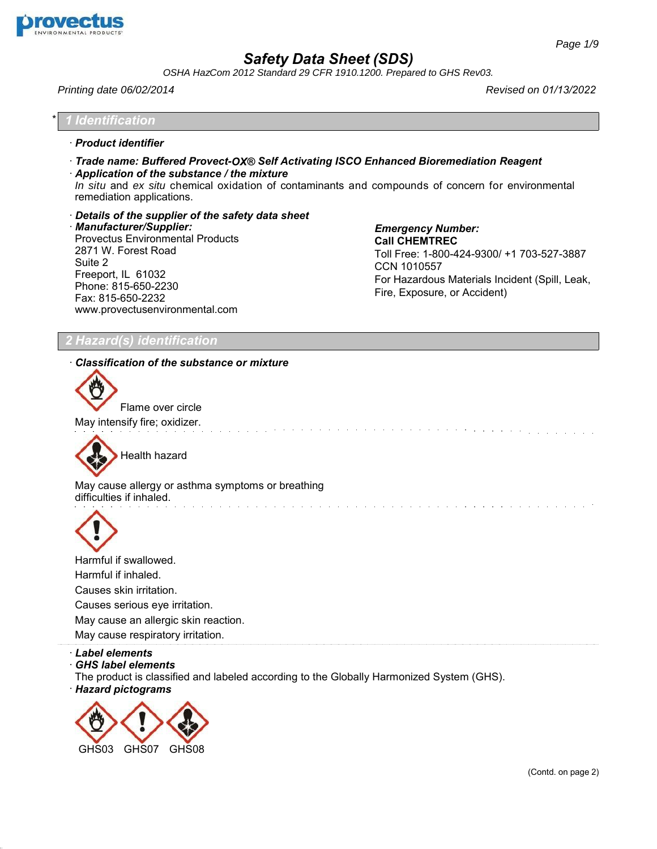

*OSHA HazCom 2012 Standard 29 CFR 1910.1200. Prepared to GHS Rev03.*

*Printing date 06/02/2014 Revised on 01/13/2022*

\* *1 Identification*

· *Product identifier*

- · *Trade name: Buffered Provect-OX® Self Activating ISCO Enhanced Bioremediation Reagent*
- · *Application of the substance / the mixture*

*In situ* and *ex situ* chemical oxidation of contaminants and compounds of concern for environmental remediation applications.

and the company of the company of the

· *Details of the supplier of the safety data sheet*

· *Manufacturer/Supplier:* Provectus Environmental Products 2871 W. Forest Road Suite 2 Freeport, IL 61032 Phone: 815-650-2230 Fax: 815-650-2232 [www.provectusenvironmental.com](http://www.provectusenvironmental.com/)

*Emergency Number:* **Call CHEMTREC** Toll Free: 1-800-424-9300/ +1 703-527-3887 CCN 1010557 For Hazardous Materials Incident (Spill, Leak, [Fire, Exposure, or Accident\)](http://www.provectusenvironmental.com/) 

and the contract of the contract of the

de la carte de la carte de la carte de la carte de la carte

## *2 Hazard(s) identification*

#### · *Classification of the substance or mixture*



Flame over circle May intensify fire; oxidizer.



May cause allergy or asthma symptoms or breathing difficulties if inhaled.



Harmful if swallowed. Harmful if inhaled. Causes skin irritation. Causes serious eye irritation. May cause an allergic skin reaction. May cause respiratory irritation.

· *Label elements*

38.1.1

· *GHS label elements*

The product is classified and labeled according to the Globally Harmonized System (GHS).

· *Hazard pictograms*

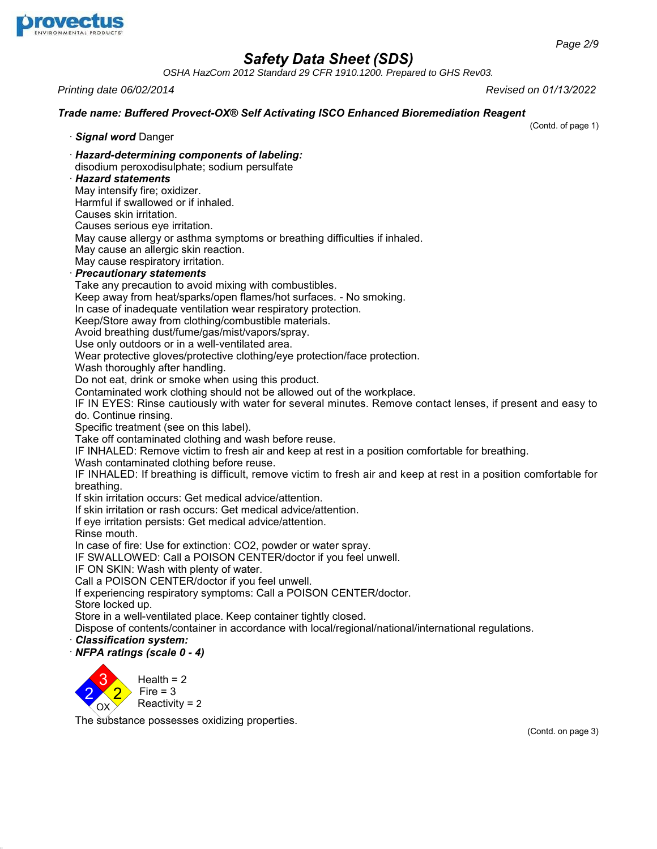

*OSHA HazCom 2012 Standard 29 CFR 1910.1200. Prepared to GHS Rev03.*

*Printing date 06/02/2014 Revised on 01/13/2022*

## *Trade name: Buffered Provect-OX® Self Activating ISCO Enhanced Bioremediation Reagent*

(Contd. of page 1)

· *Signal word* Danger

· *Hazard-determining components of labeling:*

disodium peroxodisulphate; sodium persulfate

# · *Hazard statements*

May intensify fire; oxidizer.

Harmful if swallowed or if inhaled.

Causes skin irritation.

Causes serious eye irritation.

May cause allergy or asthma symptoms or breathing difficulties if inhaled.

May cause an allergic skin reaction.

May cause respiratory irritation.

## · *Precautionary statements*

Take any precaution to avoid mixing with combustibles.

Keep away from heat/sparks/open flames/hot surfaces. - No smoking.

In case of inadequate ventilation wear respiratory protection.

Keep/Store away from clothing/combustible materials.

Avoid breathing dust/fume/gas/mist/vapors/spray.

Use only outdoors or in a well-ventilated area.

Wear protective gloves/protective clothing/eye protection/face protection.

Wash thoroughly after handling.

Do not eat, drink or smoke when using this product.

Contaminated work clothing should not be allowed out of the workplace.

IF IN EYES: Rinse cautiously with water for several minutes. Remove contact lenses, if present and easy to do. Continue rinsing.

Specific treatment (see on this label).

Take off contaminated clothing and wash before reuse.

IF INHALED: Remove victim to fresh air and keep at rest in a position comfortable for breathing.

Wash contaminated clothing before reuse.

IF INHALED: If breathing is difficult, remove victim to fresh air and keep at rest in a position comfortable for breathing.

If skin irritation occurs: Get medical advice/attention.

If skin irritation or rash occurs: Get medical advice/attention.

If eye irritation persists: Get medical advice/attention.

Rinse mouth.

In case of fire: Use for extinction: CO2, powder or water spray.

IF SWALLOWED: Call a POISON CENTER/doctor if you feel unwell.

IF ON SKIN: Wash with plenty of water.

Call a POISON CENTER/doctor if you feel unwell.

If experiencing respiratory symptoms: Call a POISON CENTER/doctor.

Store locked up.

38.1.1

Store in a well-ventilated place. Keep container tightly closed.

Dispose of contents/container in accordance with local/regional/national/international regulations.

· *Classification system:*

· *NFPA ratings (scale 0 - 4)*



The substance possesses oxidizing properties.

(Contd. on page 3)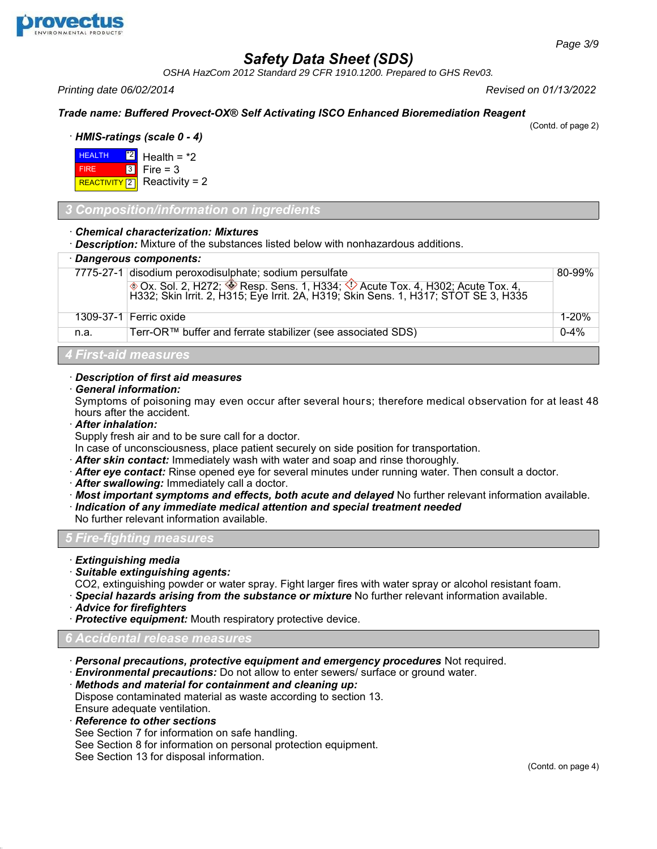

*OSHA HazCom 2012 Standard 29 CFR 1910.1200. Prepared to GHS Rev03.*

*Printing date 06/02/2014 Revised on 01/13/2022*

## *Trade name: Buffered Provect-OX® Self Activating ISCO Enhanced Bioremediation Reagent*

(Contd. of page 2)

· *HMIS-ratings (scale 0 - 4)*



## *3 Composition/information on ingredients*

#### · *Chemical characterization: Mixtures*

· *Description:* Mixture of the substances listed below with nonhazardous additions.

# · *Dangerous components:*

| <i>Dangerous componems.</i> |                                                                                                                                                                    |           |  |
|-----------------------------|--------------------------------------------------------------------------------------------------------------------------------------------------------------------|-----------|--|
|                             | 7775-27-1 disodium peroxodisulphate; sodium persulfate                                                                                                             |           |  |
|                             | ◈ Ox. Sol. 2, H272; ♦ Resp. Sens. 1, H334; ♦ Acute Tox. 4, H302; Acute Tox. 4, H332; Skin Irrit. 2, H315; Eye Irrit. 2A, H319; Skin Sens. 1, H317; STOT SE 3, H335 |           |  |
|                             | 1309-37-1 Ferric oxide                                                                                                                                             | $1 - 20%$ |  |
| n.a.                        | Terr-OR™ buffer and ferrate stabilizer (see associated SDS)                                                                                                        | $0 - 4%$  |  |
| 4 First-aid measures        |                                                                                                                                                                    |           |  |

## · *Description of first aid measures*

· *General information:*

Symptoms of poisoning may even occur after several hours; therefore medical observation for at least 48 hours after the accident.

· *After inhalation:*

Supply fresh air and to be sure call for a doctor.

In case of unconsciousness, place patient securely on side position for transportation.

- · *After skin contact:* Immediately wash with water and soap and rinse thoroughly.
- · *After eye contact:* Rinse opened eye for several minutes under running water. Then consult a doctor.
- · *After swallowing:* Immediately call a doctor.
- · *Most important symptoms and effects, both acute and delayed* No further relevant information available.
- · *Indication of any immediate medical attention and special treatment needed*

No further relevant information available.

## *5 Fire-fighting measures*

- · *Extinguishing media*
- · *Suitable extinguishing agents:*

CO2, extinguishing powder or water spray. Fight larger fires with water spray or alcohol resistant foam.

- · *Special hazards arising from the substance or mixture* No further relevant information available.
- · *Advice for firefighters*
- · *Protective equipment:* Mouth respiratory protective device.

## *6 Accidental release measures*

- · *Personal precautions, protective equipment and emergency procedures* Not required.
- · *Environmental precautions:* Do not allow to enter sewers/ surface or ground water.
- · *Methods and material for containment and cleaning up:*

Dispose contaminated material as waste according to section 13. Ensure adequate ventilation.

· *Reference to other sections*

38.1.1

- See Section 7 for information on safe handling.
- See Section 8 for information on personal protection equipment.
- See Section 13 for disposal information.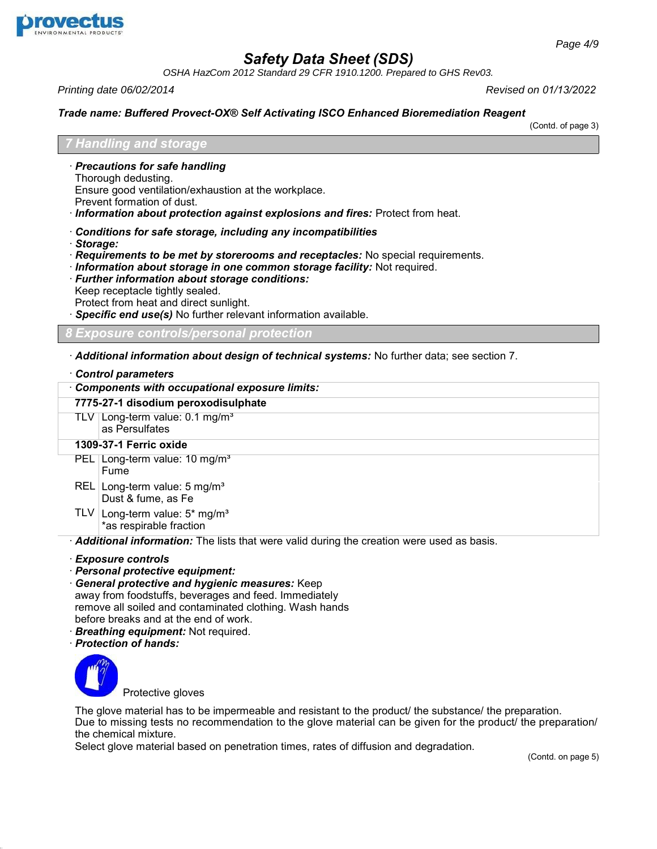

*OSHA HazCom 2012 Standard 29 CFR 1910.1200. Prepared to GHS Rev03.*

*Printing date 06/02/2014 Revised on 01/13/2022*

#### *Trade name: Buffered Provect-OX® Self Activating ISCO Enhanced Bioremediation Reagent*

(Contd. of page 3)

## *7 Handling and storage*

- · *Precautions for safe handling*
- Thorough dedusting.
- Ensure good ventilation/exhaustion at the workplace.
- Prevent formation of dust.
- · *Information about protection against explosions and fires:* Protect from heat.
- · *Conditions for safe storage, including any incompatibilities*
- · *Storage:*
- · *Requirements to be met by storerooms and receptacles:* No special requirements.
- · *Information about storage in one common storage facility:* Not required.
- · *Further information about storage conditions:*
- Keep receptacle tightly sealed.
- Protect from heat and direct sunlight.
- Specific end use(s) No further relevant information available.

*8 Exposure controls/personal protection*

· *Additional information about design of technical systems:* No further data; see section 7.

## · *Control parameters*

· *Components with occupational exposure limits:*

**7775-27-1 disodium peroxodisulphate**

TLV Long-term value: 0.1 mg/m<sup>3</sup> as Persulfates

## **1309-37-1 Ferric oxide**

- PEL Long-term value: 10 mg/m<sup>3</sup> Fume
- REL Long-term value: 5 mg/m<sup>3</sup> Dust & fume, as Fe
- <code>TLV</code>  $\mid$  Long-term value: 5\* mg/m $^{\rm 3}$ \*as respirable fraction

· *Additional information:* The lists that were valid during the creation were used as basis.

- · *Exposure controls*
- · *Personal protective equipment:*
- · *General protective and hygienic measures:* Keep away from foodstuffs, beverages and feed. Immediately remove all soiled and contaminated clothing. Wash hands before breaks and at the end of work.
- · *Breathing equipment:* Not required.
- · *Protection of hands:*



38.1.1

Protective gloves

The glove material has to be impermeable and resistant to the product/ the substance/ the preparation. Due to missing tests no recommendation to the glove material can be given for the product/ the preparation/ the chemical mixture.

Select glove material based on penetration times, rates of diffusion and degradation.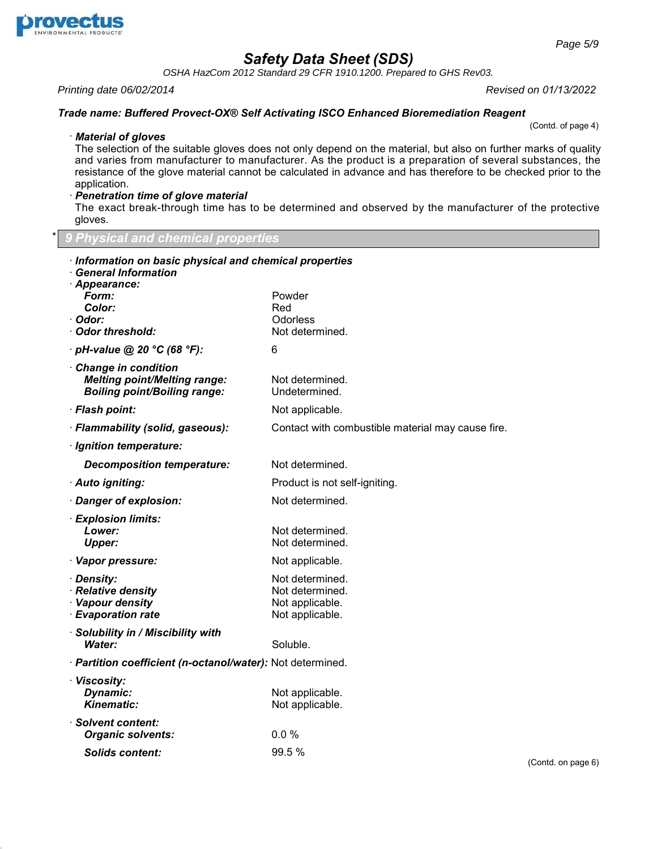

38.1.1

# *Safety Data Sheet (SDS)*

*OSHA HazCom 2012 Standard 29 CFR 1910.1200. Prepared to GHS Rev03.*

*Printing date 06/02/2014 Revised on 01/13/2022*

#### *Trade name: Buffered Provect-OX® Self Activating ISCO Enhanced Bioremediation Reagent*

(Contd. of page 4)

#### · *Material of gloves*

The selection of the suitable gloves does not only depend on the material, but also on further marks of quality and varies from manufacturer to manufacturer. As the product is a preparation of several substances, the resistance of the glove material cannot be calculated in advance and has therefore to be checked prior to the application.

## · *Penetration time of glove material*

The exact break-through time has to be determined and observed by the manufacturer of the protective gloves.

\* *9 Physical and chemical properties*

| Information on basic physical and chemical properties<br><b>General Information</b>               |                                                                          |        |
|---------------------------------------------------------------------------------------------------|--------------------------------------------------------------------------|--------|
| · Appearance:<br>Form:<br><b>Color:</b><br>· Odor:<br>Odor threshold:                             | Powder<br>Red<br>Odorless<br>Not determined.                             |        |
| $\cdot$ pH-value @ 20 °C (68 °F):                                                                 | 6                                                                        |        |
| Change in condition<br><b>Melting point/Melting range:</b><br><b>Boiling point/Boiling range:</b> | Not determined.<br>Undetermined.                                         |        |
| · Flash point:                                                                                    | Not applicable.                                                          |        |
| · Flammability (solid, gaseous):                                                                  | Contact with combustible material may cause fire.                        |        |
| · Ignition temperature:                                                                           |                                                                          |        |
| <b>Decomposition temperature:</b>                                                                 | Not determined.                                                          |        |
| · Auto igniting:                                                                                  | Product is not self-igniting.                                            |        |
| · Danger of explosion:                                                                            | Not determined.                                                          |        |
| · Explosion limits:<br>Lower:<br><b>Upper:</b>                                                    | Not determined.<br>Not determined.                                       |        |
| · Vapor pressure:                                                                                 | Not applicable.                                                          |        |
| · Density:<br>· Relative density<br>· Vapour density<br>· Evaporation rate                        | Not determined.<br>Not determined.<br>Not applicable.<br>Not applicable. |        |
| · Solubility in / Miscibility with<br><b>Water:</b>                                               | Soluble.                                                                 |        |
| · Partition coefficient (n-octanol/water): Not determined.                                        |                                                                          |        |
| · Viscosity:<br>Dynamic:<br>Kinematic:                                                            | Not applicable.<br>Not applicable.                                       |        |
| · Solvent content:<br><b>Organic solvents:</b>                                                    | 0.0%                                                                     |        |
| <b>Solids content:</b>                                                                            | 99.5%                                                                    | $\sim$ |

(Contd. on page 6)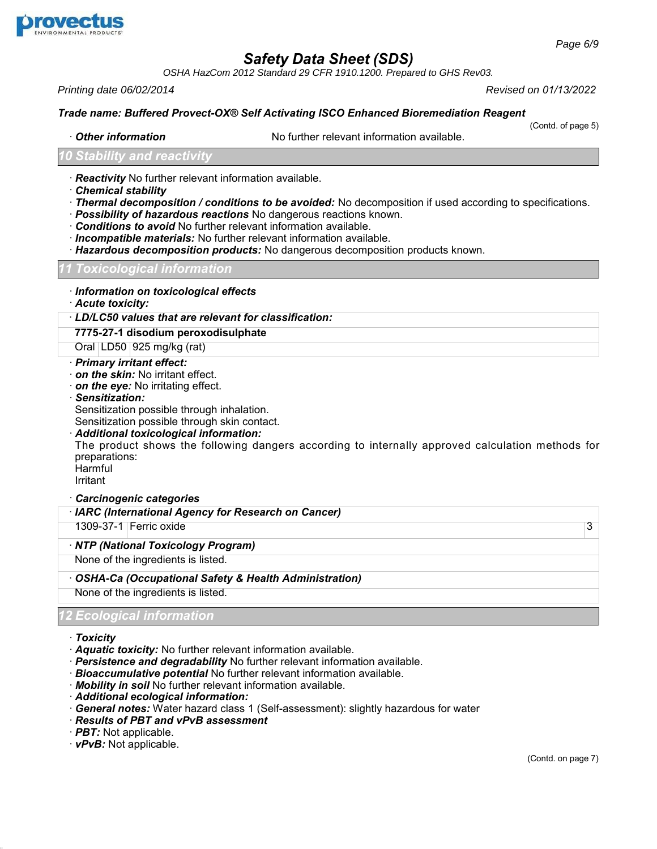

*OSHA HazCom 2012 Standard 29 CFR 1910.1200. Prepared to GHS Rev03.*

*Printing date 06/02/2014 Revised on 01/13/2022*

#### *Trade name: Buffered Provect-OX® Self Activating ISCO Enhanced Bioremediation Reagent*

• **Other information** No further relevant information available.

(Contd. of page 5)

#### *10 Stability and reactivity*

- · *Reactivity* No further relevant information available.
- · *Chemical stability*
- · *Thermal decomposition / conditions to be avoided:* No decomposition if used according to specifications.
- · *Possibility of hazardous reactions* No dangerous reactions known.
- · *Conditions to avoid* No further relevant information available.
- · *Incompatible materials:* No further relevant information available.
- · *Hazardous decomposition products:* No dangerous decomposition products known.

#### *11 Toxicological information*

- · *Information on toxicological effects*
- · *Acute toxicity:*

## · *LD/LC50 values that are relevant for classification:*

**7775-27-1 disodium peroxodisulphate**

Oral LD50 925 mg/kg (rat)

#### · *Primary irritant effect:*

- · *on the skin:* No irritant effect.
- · *on the eye:* No irritating effect.
- · *Sensitization:*

Sensitization possible through inhalation.

Sensitization possible through skin contact.

#### · *Additional toxicological information:*

The product shows the following dangers according to internally approved calculation methods for preparations:

Harmful Irritant

#### · *Carcinogenic categories*

| · IARC (International Agency for Research on Cancer)  |   |
|-------------------------------------------------------|---|
| 1309-37-1 Ferric oxide                                | 3 |
| · NTP (National Toxicology Program)                   |   |
| None of the ingredients is listed.                    |   |
| OSHA-Ca (Occupational Safety & Health Administration) |   |
| None of the ingredients is listed.                    |   |
| <b>12 Ecological information</b>                      |   |

#### · *Toxicity*

38.1.1

- · *Aquatic toxicity:* No further relevant information available.
- · *Persistence and degradability* No further relevant information available.
- · *Bioaccumulative potential* No further relevant information available.
- · *Mobility in soil* No further relevant information available.
- · *Additional ecological information:*
- · *General notes:* Water hazard class 1 (Self-assessment): slightly hazardous for water
- · *Results of PBT and vPvB assessment*
- · *PBT:* Not applicable.
- · *vPvB:* Not applicable.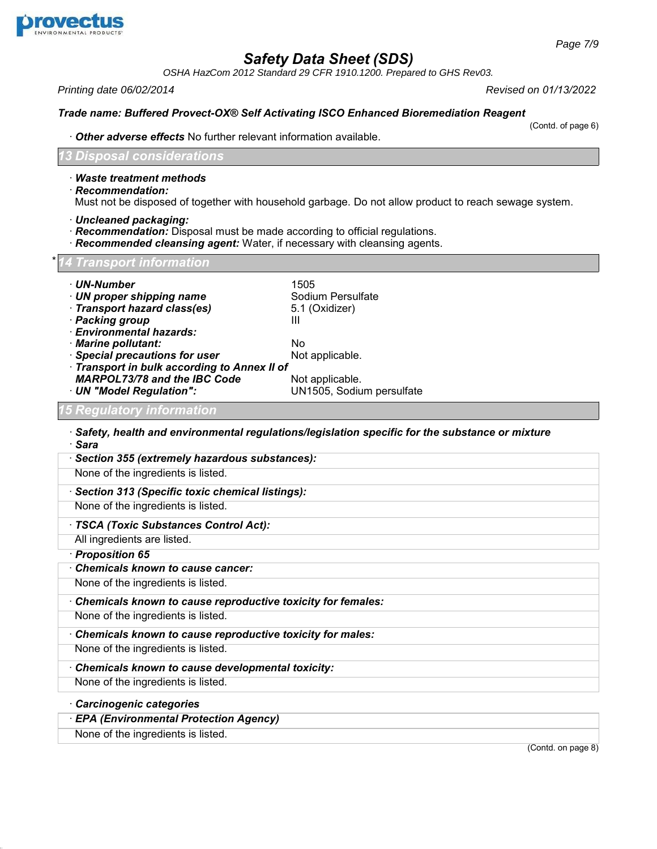

*OSHA HazCom 2012 Standard 29 CFR 1910.1200. Prepared to GHS Rev03.*

*Printing date 06/02/2014 Revised on 01/13/2022*

#### *Trade name: Buffered Provect-OX® Self Activating ISCO Enhanced Bioremediation Reagent*

(Contd. of page 6)

· *Other adverse effects* No further relevant information available.

*13 Disposal considerations*

- · *Waste treatment methods*
- · *Recommendation:*

Must not be disposed of together with household garbage. Do not allow product to reach sewage system.

- · *Uncleaned packaging:*
- · *Recommendation:* Disposal must be made according to official regulations.
- · *Recommended cleansing agent:* Water, if necessary with cleansing agents.

#### \**14 Transport information*

- 
- · *UN-Number* 1505 · *UN proper shipping name* Sodium Persulfate
- **Transport hazard class(es)**
- · **Packing group III**
- · *Environmental hazards:*
- 
- **· Special precautions for user**
- · *Transport in bulk according to Annex II of MARPOL73/78 and the IBC Code* Not applicable.<br>*UN "Model Regulation":* UN1505, Sodiu

· *Marine pollutant:* No

· *UN "Model Regulation":* UN1505, Sodium persulfate

## *15 Regulatory information*

- · *Safety, health and environmental regulations/legislation specific for the substance or mixture* · *Sara*
- · *Section 355 (extremely hazardous substances):* None of the ingredients is listed. · *Section 313 (Specific toxic chemical listings):* None of the ingredients is listed. · *TSCA (Toxic Substances Control Act):* All ingredients are listed. · *Proposition 65* · *Chemicals known to cause cancer:* None of the ingredients is listed. · *Chemicals known to cause reproductive toxicity for females:* None of the ingredients is listed. · *Chemicals known to cause reproductive toxicity for males:* None of the ingredients is listed. · *Chemicals known to cause developmental toxicity:* None of the ingredients is listed. · *Carcinogenic categories*
	- · *EPA (Environmental Protection Agency)*
	- None of the ingredients is listed.

38.1.1

(Contd. on page 8)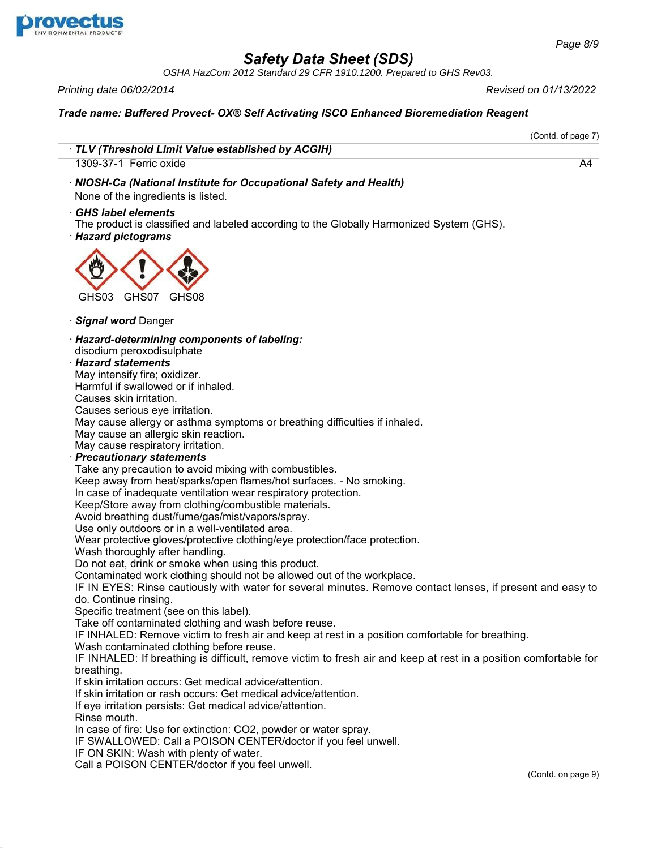

38.1.1

# *Safety Data Sheet (SDS)*

*OSHA HazCom 2012 Standard 29 CFR 1910.1200. Prepared to GHS Rev03.*

*Printing date 06/02/2014 Revised on 01/13/2022*

(Contd. of page 7)

# *Trade name: Buffered Provect- OX® Self Activating ISCO Enhanced Bioremediation Reagent*

| · TLV (Threshold Limit Value established by ACGIH)<br>1309-37-1 Ferric oxide                                                                              | A4                 |
|-----------------------------------------------------------------------------------------------------------------------------------------------------------|--------------------|
| · NIOSH-Ca (National Institute for Occupational Safety and Health)                                                                                        |                    |
| None of the ingredients is listed.                                                                                                                        |                    |
| <b>GHS label elements</b><br>The product is classified and labeled according to the Globally Harmonized System (GHS).<br>· Hazard pictograms              |                    |
|                                                                                                                                                           |                    |
| GHS03<br>GHS07<br>GHS08                                                                                                                                   |                    |
| · Signal word Danger                                                                                                                                      |                    |
| · Hazard-determining components of labeling:                                                                                                              |                    |
| disodium peroxodisulphate<br>· Hazard statements                                                                                                          |                    |
| May intensify fire; oxidizer.                                                                                                                             |                    |
| Harmful if swallowed or if inhaled.                                                                                                                       |                    |
| Causes skin irritation.                                                                                                                                   |                    |
| Causes serious eye irritation.                                                                                                                            |                    |
| May cause allergy or asthma symptoms or breathing difficulties if inhaled.                                                                                |                    |
| May cause an allergic skin reaction.                                                                                                                      |                    |
| May cause respiratory irritation.                                                                                                                         |                    |
| · Precautionary statements                                                                                                                                |                    |
| Take any precaution to avoid mixing with combustibles.                                                                                                    |                    |
| Keep away from heat/sparks/open flames/hot surfaces. - No smoking.<br>In case of inadequate ventilation wear respiratory protection.                      |                    |
| Keep/Store away from clothing/combustible materials.                                                                                                      |                    |
| Avoid breathing dust/fume/gas/mist/vapors/spray.                                                                                                          |                    |
| Use only outdoors or in a well-ventilated area.                                                                                                           |                    |
| Wear protective gloves/protective clothing/eye protection/face protection.                                                                                |                    |
| Wash thoroughly after handling.                                                                                                                           |                    |
| Do not eat, drink or smoke when using this product.                                                                                                       |                    |
| Contaminated work clothing should not be allowed out of the workplace.                                                                                    |                    |
| IF IN EYES: Rinse cautiously with water for several minutes. Remove contact lenses, if present and easy to                                                |                    |
| do. Continue rinsing.                                                                                                                                     |                    |
| Specific treatment (see on this label).                                                                                                                   |                    |
| Take off contaminated clothing and wash before reuse.<br>IF INHALED: Remove victim to fresh air and keep at rest in a position comfortable for breathing. |                    |
| Wash contaminated clothing before reuse.                                                                                                                  |                    |
| IF INHALED: If breathing is difficult, remove victim to fresh air and keep at rest in a position comfortable for                                          |                    |
| breathing.                                                                                                                                                |                    |
| If skin irritation occurs: Get medical advice/attention.                                                                                                  |                    |
| If skin irritation or rash occurs: Get medical advice/attention.                                                                                          |                    |
| If eye irritation persists: Get medical advice/attention.                                                                                                 |                    |
| Rinse mouth.                                                                                                                                              |                    |
| In case of fire: Use for extinction: CO2, powder or water spray.                                                                                          |                    |
| IF SWALLOWED: Call a POISON CENTER/doctor if you feel unwell.                                                                                             |                    |
| IF ON SKIN: Wash with plenty of water.<br>Call a POISON CENTER/doctor if you feel unwell.                                                                 |                    |
|                                                                                                                                                           | (Contd. on page 9) |
|                                                                                                                                                           |                    |